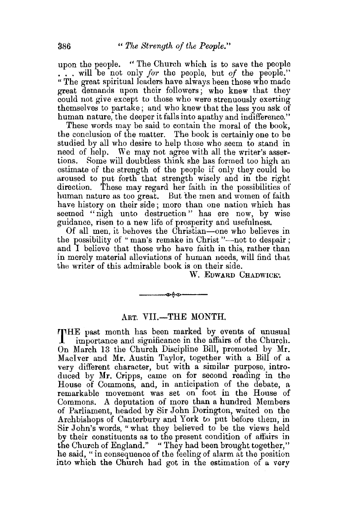upon the people. "The Church which is to save the people  $\cdot$ , will be not only *for* the people, but *of* the people." "The great spiritual leaders have always been those who made great demands upon their followers ; who knew that they could not give except to those who were strenuously exerting themselves to partake; and who knew that the less you ask of human nature, the deeper it falls into apathy and indifference."

These words may be said to contain the moral of the book, the conclusion of the matter. The book is certainly one to be studied by all who desire to help those who seem to stand in need of help. We may not agree with all the writer's assertions. Some will doubtless think she has formed too high an estimate of the strength of the people if only they could be aroused to put forth that strength wisely and in the right These may regard her faith in the possibilities of human nature as too great. But the men and women of faith have history on their side; more than one nation which has seemed "nigh unto destruction" has ere now, by wise guidance, risen to a new life of prosperity and usefulness.

Of all men, it behoves the Christian-one who believes in the possibility of "man's remake in Christ"—not to despair; and I believe that those who have faith in this, rather than in merely material alleviations of human needs, will find that the writer of this admirable book is on their side.

W. EDWARD CHADWICK'.

## ART. VII.-THE MONTH.

~--

THE past month has been marked by events of unusual importance and significance in the affairs of the Church. On March 13 the Church Discipline Bill, promoted by Mr. Maciver and Mr. Austin Taylor, together with a Bill of a very different character, but with a similar purpose, introduced by Mr. Cripps, came on for second reading in the House of Commons, and, in anticipation of the debate, a remarkable movement was set on foot in the House of Commons. A deputation of more than a hundred Members of Parliament, headed by Sir John Dorington, waited on the Archbishops of Canterbury and York to put before them, in Sir John's words, "what they believed to be the views held by their constituents as to the present condition of affairs in the Church of England." "They had been brought together," he said, " in consequence of the feeling of alarm at the position into which the Church had got in the estimation of a very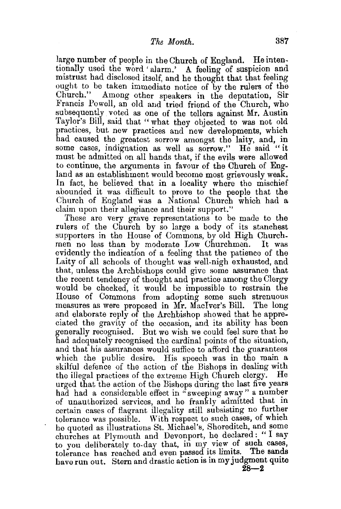large number of people in the Church of England. He intentionally used the word 'alarm.' A feeling of suspicion and mistrust had disclosed itself, and he thought that that feeling ought to be taken immediate notice of by the rulers of the Church." Among other speakers in the deputation, Sir Francis Powell, an old and tried friend of the Church, who subsequently voted as one of the tellers against Mr. Austin Taylor's Bill, said that "what they objected to was not old practices, but new practices and new developments, which had caused the greatest sorrow amongst the laity, and, in some cases, indignation as well as sorrow." He said "it must be admitted on all hands that, if the evils were allowed to continue, the arguments in favour of the Church of England as an establishment would become most grievously weak. In fact, he believed that in a locality where the mischief abounded it was difficult to prove to the people that the Church of England was a National Church which had a claim upon their allegiance and their support."

These are very grave representations to be made to the rulers of the Church by so large a body of its stanchest supporters in the House of Commons, by old High Churchmen no less than by moderate Low Churchmen. It was evidently the indication of a feeling that the patience of the Laity of all schools of thought was well-nigh exhausted, and that, unless the Archbishops could give some assurance that the recent tendency of thought and practice among the Clergy would be checked, it would be impossible to restrain the House of Commons from adopting some such strenuous measures as were proposed in Mr. MacIver's Bill. The long and elaborate reply of the Archbishop showed that he appreciated the gravity of the occasion, and its ability has been generally recognised. But we wish we could feel sure that he had adequately recognised the cardinal points of the situation, and that his assurances would suffice to afford the guarantees which the public desire. His speech was in the main a skilful defence of the action of the Bishops in dealing with the illegal practices of the extreme High Church clergy. He urged that the action of the Bishops during the last five years had had a considerable effect in "sweeping away" a number of unauthorized services, and he frankly admitted that in certain cases of flagrant illegality still subsisting no further tolerance was possible. With respect to such cases, of which he quoted as illustrations St. Michael's, Shoreditch, and some churches at Plymouth and Devonport, he declared : " I say to you deliberately to-day that, in my view of such cases, tolerance has reached and even passed its limits. The sands have run out. Stern and drastic action is in my judgment quite **28-2**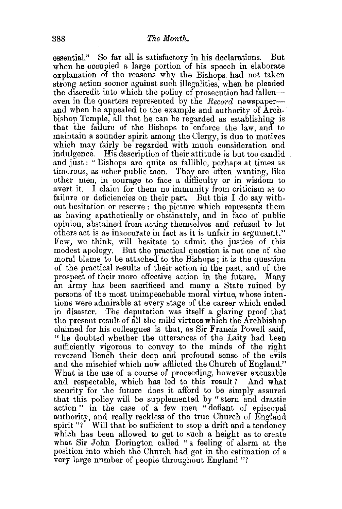essential." So far all is satisfactory in his declarations. But when he occupied a large portion of his speech in elaborate explanation of the reasons why the Bishops. had not taken strong action sooner against such illegalities, when he pleaded the discredit into which the policy of prosecution had falleneven in the quarters represented by the *Record* newspaperand when he appealed to the example and authority of Archbishop Temple, all that he can be regarded as establishing is that the failure of the Bishops to enforce the law, and to maintain a sounder spirit among the Clergy, is due to motives which may fairly be regarded with much consideration and indulgence. His description of their attitude is but too candid and just : "Bishops are quite as fallible, perhaps at times as timorous, as other public men. They are often wanting, like other men, in courage to face a difficulty or in wisdom to avert it. I claim for them no immunity from criticism as to failure or deficiencies on their part. But this I do say without hesitation or reserve : the picture which represents them as having apathetically or obstinately, and in face of public opinion, abstained from acting themselves and refused to let others act is as inaccurate in fact as it is unfair in argument." Few, we think, will hesitate to admit the justice of this modest apology. But the practical question is not one of the moral blame to be attached to the Bishops ; it is the question of the practical results of their action in the past, and of the prospect of their more effective action in the future. Many an army has been sacrificed and many a State ruined by persons of the most unimpeachable moral virtue, whose intentions were admirable at every stage of the career which ended in disaster. The deputation was itself a glaring proof that the present result of all the mild virtues which the Archbishop claimed for his colleagues is that, as Sir Francis Powell said, "he doubted whether the utterances of the Laity had been sufficiently vigorous to convey to the minds of the right reverend Bench their deep and profound sense of the evils and the mischief which now afflicted the Church of England." What is the use of a course of proceeding, however excusable and respectable, which has led to this result? And what security for the future does it afford to be simply assured that this policy will be supplemented by "stern and drastic action " in the case of a few men " defiant of episcopal authority, and really reckless of the true Church of England spirit"? Will that be sufficient to stop a drift and a tendency which has been allowed to get to such a height as to create what Sir John Dorington called "a feeling of alarm at the position into which the Church had got in the estimation of a very large number of people throughout England "?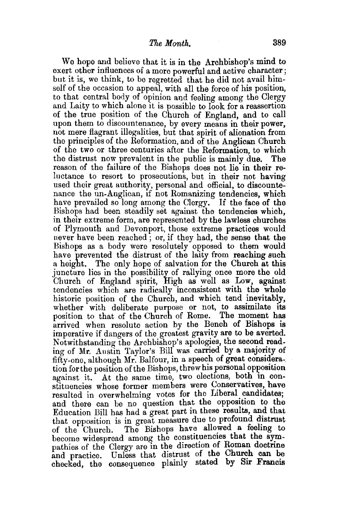We hope and believe that it is in the Archbishop's mind to exert other influences of a more powerful and active character ; but it is, we think, to be regretted that he did not avail himself of the occasion to appeal, with all the force of his position, to that central body of opinion and feeling among the Clergy and Laity to which alone it is possible to look for a reassertion of the true position of the Church of England, and to call upon them to discountenance, by every means in their power, not mere flagrant illegalities, but that spirit of alienation from the principles of the Reformation, and of the Anglican Church of the two or three centuries after the Reformation, to which the distrust now prevalent in the public is mainly due. The reason of the failure of the Bishops does not lie in their reluctance to resort to prosecutions, but in their not having used their great authority, personal and official, to discountenance the un-Anglican, if not Romanizing tendencies, which have prevailed so long among the Clergy. If the face of the Bishops had been steadily set against the tendencies which, in their extreme form, are represented by the lawless churches of Plymouth and Devonport, those extreme practices would never have been reached ; or, if they had, the sense that the Bishops as a body were resolutely opposed to them would have prevented the distrust of the laity from reaching such a height. The only hope of salvation for the Church at this juncture lies in the possibility of rallying once more the old Church of England spirit, High as well as Low, against tendencies which are radically inconsistent with the whole historic position of the Church, and which tend inevitably, whether with deliberate purpose or not, to assimilate its position to that of the Church of Rome. The moment has position to that of the Church of Rome. arrived when resolute action by the Bench of Bishops is imperative if dangers of the greatest gravity are to be averted. Notwithstanding the Archbishop's apologies, the second reading of Mr. Austin Taylor's Bill was carried by a majority of fifty-one, although Mr. Balfour, in a speech of great consideration for the position of the Bishops, threw his personal opposition against it. At the same time, two elections, both in constituencies whose former members were Conservatives, have resulted in overwhelming votes for the Liberal candidates: and there can be no question that the opposition to the Education Bill has had a great part in these results, and that that opposition is in great measure due to profound distrust of the Church. The Bishops have allowed a feeling to become widespread among the constituencies that the sympathies of the Clergy are in the direction of Roman doctrine and practice. Unless that distrust of the Church can be checked, the consequence plainly stated by Sir Francis